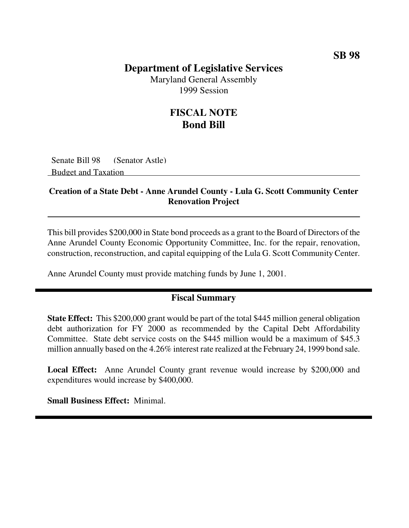### **Department of Legislative Services**

Maryland General Assembly 1999 Session

## **FISCAL NOTE Bond Bill**

Senate Bill 98 (Senator Astle) Budget and Taxation

#### **Creation of a State Debt - Anne Arundel County - Lula G. Scott Community Center Renovation Project**

This bill provides \$200,000 in State bond proceeds as a grant to the Board of Directors of the Anne Arundel County Economic Opportunity Committee, Inc. for the repair, renovation, construction, reconstruction, and capital equipping of the Lula G. Scott Community Center.

Anne Arundel County must provide matching funds by June 1, 2001.

#### **Fiscal Summary**

**State Effect:** This \$200,000 grant would be part of the total \$445 million general obligation debt authorization for FY 2000 as recommended by the Capital Debt Affordability Committee. State debt service costs on the \$445 million would be a maximum of \$45.3 million annually based on the 4.26% interest rate realized at the February 24, 1999 bond sale.

**Local Effect:** Anne Arundel County grant revenue would increase by \$200,000 and expenditures would increase by \$400,000.

**Small Business Effect:** Minimal.